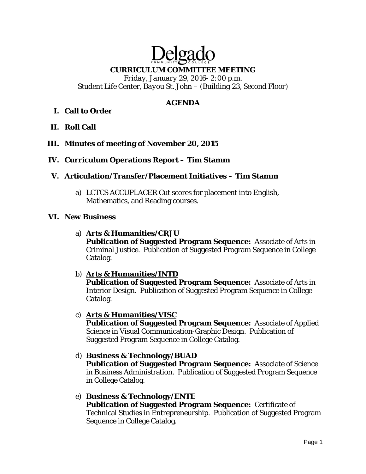# Delgade **CURRICULUM COMMITTEE MEETING**

*Friday, January 29, 2016- 2:00 p.m. Student Life Center, Bayou St. John – (Building 23, Second Floor)* 

## **AGENDA**

## **I. Call to Order**

- **II. Roll Call**
- **III. Minutes of meeting of November 20, 2015**
- **IV. Curriculum Operations Report Tim Stamm**
- **V. Articulation/Transfer/Placement Initiatives Tim Stamm**
	- a) LCTCS ACCUPLACER Cut scores for placement into English, Mathematics, and Reading courses.

#### **VI. New Business**

a) **Arts & Humanities/CRJU** 

**Publication of Suggested Program Sequence:** Associate of Arts in Criminal Justice. Publication of Suggested Program Sequence in College Catalog.

- b) **Arts & Humanities/INTD Publication of Suggested Program Sequence:** Associate of Arts in Interior Design. Publication of Suggested Program Sequence in College Catalog.
- c) **Arts & Humanities/VISC Publication of Suggested Program Sequence:** Associate of Applied Science in Visual Communication-Graphic Design. Publication of Suggested Program Sequence in College Catalog.
- d) **Business & Technology/BUAD**

**Publication of Suggested Program Sequence:** Associate of Science in Business Administration. Publication of Suggested Program Sequence in College Catalog.

e) **Business & Technology/ENTE Publication of Suggested Program Sequence:** Certificate of Technical Studies in Entrepreneurship. Publication of Suggested Program Sequence in College Catalog.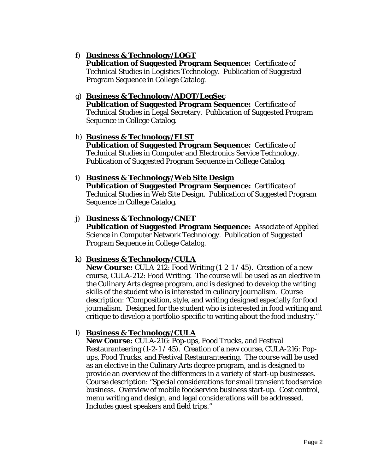## f) **Business & Technology/LOGT**

**Publication of Suggested Program Sequence:** Certificate of Technical Studies in Logistics Technology. Publication of Suggested Program Sequence in College Catalog.

## g) **Business & Technology/ADOT/LegSec**

**Publication of Suggested Program Sequence:** Certificate of Technical Studies in Legal Secretary. Publication of Suggested Program Sequence in College Catalog.

#### h) **Business & Technology/ELST**

**Publication of Suggested Program Sequence:** Certificate of Technical Studies in Computer and Electronics Service Technology. Publication of Suggested Program Sequence in College Catalog.

#### i) **Business & Technology/Web Site Design**

**Publication of Suggested Program Sequence:** Certificate of Technical Studies in Web Site Design. Publication of Suggested Program Sequence in College Catalog.

#### j) **Business & Technology/CNET**

**Publication of Suggested Program Sequence:** Associate of Applied Science in Computer Network Technology. Publication of Suggested Program Sequence in College Catalog.

#### k) **Business & Technology/CULA**

**New Course:** CULA-212: Food Writing (1-2-1 / 45). Creation of a new course, CULA-212: Food Writing. The course will be used as an elective in the Culinary Arts degree program, and is designed to develop the writing skills of the student who is interested in culinary journalism. Course description: "Composition, style, and writing designed especially for food journalism. Designed for the student who is interested in food writing and critique to develop a portfolio specific to writing about the food industry."

#### l) **Business & Technology/CULA**

**New Course:** CULA-216: Pop-ups, Food Trucks, and Festival Restauranteering (1-2-1 / 45). Creation of a new course, CULA-216: Popups, Food Trucks, and Festival Restauranteering. The course will be used as an elective in the Culinary Arts degree program, and is designed to provide an overview of the differences in a variety of start-up businesses. Course description: "Special considerations for small transient foodservice business. Overview of mobile foodservice business start-up. Cost control, menu writing and design, and legal considerations will be addressed. Includes guest speakers and field trips."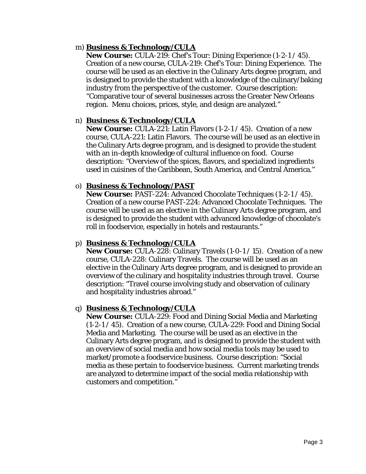## m) **Business & Technology/CULA**

**New Course:** CULA-219: Chef's Tour: Dining Experience (1-2-1 / 45). Creation of a new course, CULA-219: Chef's Tour: Dining Experience. The course will be used as an elective in the Culinary Arts degree program, and is designed to provide the student with a knowledge of the culinary/baking industry from the perspective of the customer. Course description: "Comparative tour of several businesses across the Greater New Orleans region. Menu choices, prices, style, and design are analyzed."

## n) **Business & Technology/CULA**

**New Course:** CULA-221: Latin Flavors (1-2-1 / 45). Creation of a new course, CULA-221: Latin Flavors. The course will be used as an elective in the Culinary Arts degree program, and is designed to provide the student with an in-depth knowledge of cultural influence on food. Course description: "Overview of the spices, flavors, and specialized ingredients used in cuisines of the Caribbean, South America, and Central America."

#### o) **Business & Technology/PAST**

**New Course:** PAST-224: Advanced Chocolate Techniques (1-2-1 / 45). Creation of a new course PAST-224: Advanced Chocolate Techniques. The course will be used as an elective in the Culinary Arts degree program, and is designed to provide the student with advanced knowledge of chocolate's roll in foodservice, especially in hotels and restaurants."

#### p) **Business & Technology/CULA**

**New Course:** CULA-228: Culinary Travels (1-0-1 / 15). Creation of a new course, CULA-228: Culinary Travels. The course will be used as an elective in the Culinary Arts degree program, and is designed to provide an overview of the culinary and hospitality industries through travel. Course description: "Travel course involving study and observation of culinary and hospitality industries abroad."

#### q) **Business & Technology/CULA**

**New Course:** CULA-229: Food and Dining Social Media and Marketing (1-2-1 / 45). Creation of a new course, CULA-229: Food and Dining Social Media and Marketing. The course will be used as an elective in the Culinary Arts degree program, and is designed to provide the student with an overview of social media and how social media tools may be used to market/promote a foodservice business. Course description: "Social media as these pertain to foodservice business. Current marketing trends are analyzed to determine impact of the social media relationship with customers and competition."